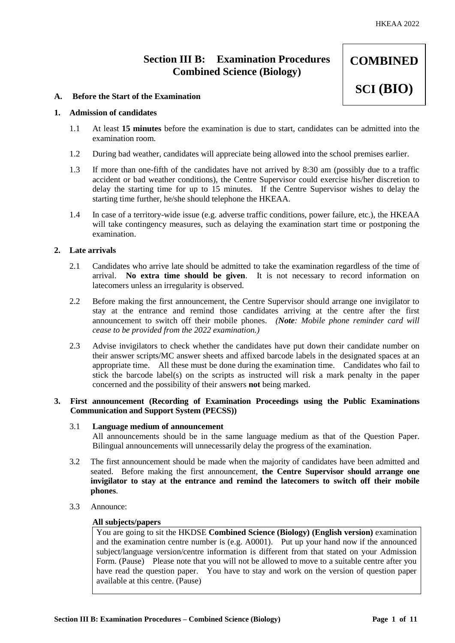**COMBINED** 

**SCI (BIO)**

# **Section III B: Examination Procedures Combined Science (Biology)**

## **A. Before the Start of the Examination**

## **1. Admission of candidates**

- 1.1 At least **15 minutes** before the examination is due to start, candidates can be admitted into the examination room.
- 1.2 During bad weather, candidates will appreciate being allowed into the school premises earlier.
- 1.3 If more than one-fifth of the candidates have not arrived by 8:30 am (possibly due to a traffic accident or bad weather conditions), the Centre Supervisor could exercise his/her discretion to delay the starting time for up to 15 minutes. If the Centre Supervisor wishes to delay the starting time further, he/she should telephone the HKEAA.
- 1.4 In case of a territory-wide issue (e.g. adverse traffic conditions, power failure, etc.), the HKEAA will take contingency measures, such as delaying the examination start time or postponing the examination.

## **2. Late arrivals**

- 2.1 Candidates who arrive late should be admitted to take the examination regardless of the time of arrival. **No extra time should be given**. It is not necessary to record information on latecomers unless an irregularity is observed.
- 2.2 Before making the first announcement, the Centre Supervisor should arrange one invigilator to stay at the entrance and remind those candidates arriving at the centre after the first announcement to switch off their mobile phones. *(Note: Mobile phone reminder card will cease to be provided from the 2022 examination.)*
- 2.3 Advise invigilators to check whether the candidates have put down their candidate number on their answer scripts/MC answer sheets and affixed barcode labels in the designated spaces at an appropriate time. All these must be done during the examination time. Candidates who fail to stick the barcode label(s) on the scripts as instructed will risk a mark penalty in the paper concerned and the possibility of their answers **not** being marked.

## **3. First announcement (Recording of Examination Proceedings using the Public Examinations Communication and Support System (PECSS))**

#### 3.1 **Language medium of announcement**

All announcements should be in the same language medium as that of the Question Paper. Bilingual announcements will unnecessarily delay the progress of the examination.

- 3.2 The first announcement should be made when the majority of candidates have been admitted and seated. Before making the first announcement, **the Centre Supervisor should arrange one invigilator to stay at the entrance and remind the latecomers to switch off their mobile phones**.
- 3.3 Announce:

#### **All subjects/papers**

You are going to sit the HKDSE **Combined Science (Biology) (English version)** examination and the examination centre number is (e.g. A0001). Put up your hand now if the announced subject/language version/centre information is different from that stated on your Admission Form. (Pause) Please note that you will not be allowed to move to a suitable centre after you have read the question paper. You have to stay and work on the version of question paper available at this centre. (Pause)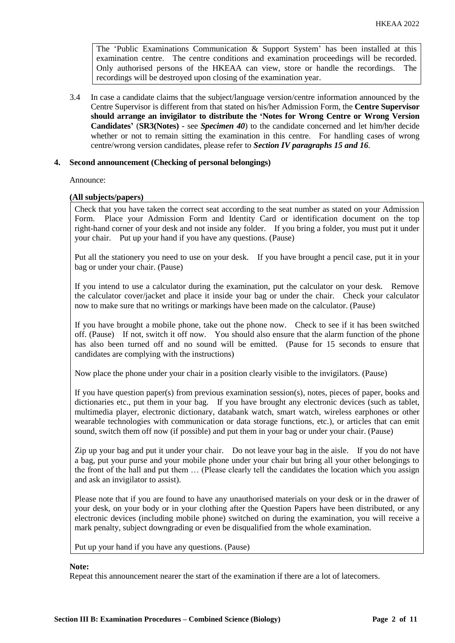The 'Public Examinations Communication  $\&$  Support System' has been installed at this examination centre. The centre conditions and examination proceedings will be recorded. Only authorised persons of the HKEAA can view, store or handle the recordings. The recordings will be destroyed upon closing of the examination year.

3.4 In case a candidate claims that the subject/language version/centre information announced by the Centre Supervisor is different from that stated on his/her Admission Form, the **Centre Supervisor should arrange an invigilator to distribute the 'Notes for Wrong Centre or Wrong Version Candidates'** (**SR3(Notes) -** see *Specimen 40*) to the candidate concerned and let him/her decide whether or not to remain sitting the examination in this centre. For handling cases of wrong centre/wrong version candidates, please refer to *Section IV paragraphs 15 and 16*.

## **4. Second announcement (Checking of personal belongings)**

Announce:

## **(All subjects/papers)**

Check that you have taken the correct seat according to the seat number as stated on your Admission Form. Place your Admission Form and Identity Card or identification document on the top right-hand corner of your desk and not inside any folder. If you bring a folder, you must put it under your chair. Put up your hand if you have any questions. (Pause)

Put all the stationery you need to use on your desk. If you have brought a pencil case, put it in your bag or under your chair. (Pause)

If you intend to use a calculator during the examination, put the calculator on your desk. Remove the calculator cover/jacket and place it inside your bag or under the chair. Check your calculator now to make sure that no writings or markings have been made on the calculator. (Pause)

If you have brought a mobile phone, take out the phone now. Check to see if it has been switched off. (Pause) If not, switch it off now. You should also ensure that the alarm function of the phone has also been turned off and no sound will be emitted. (Pause for 15 seconds to ensure that candidates are complying with the instructions)

Now place the phone under your chair in a position clearly visible to the invigilators. (Pause)

If you have question paper(s) from previous examination session(s), notes, pieces of paper, books and dictionaries etc., put them in your bag. If you have brought any electronic devices (such as tablet, multimedia player, electronic dictionary, databank watch, smart watch, wireless earphones or other wearable technologies with communication or data storage functions, etc.), or articles that can emit sound, switch them off now (if possible) and put them in your bag or under your chair. (Pause)

Zip up your bag and put it under your chair. Do not leave your bag in the aisle. If you do not have a bag, put your purse and your mobile phone under your chair but bring all your other belongings to the front of the hall and put them … (Please clearly tell the candidates the location which you assign and ask an invigilator to assist).

Please note that if you are found to have any unauthorised materials on your desk or in the drawer of your desk, on your body or in your clothing after the Question Papers have been distributed, or any electronic devices (including mobile phone) switched on during the examination, you will receive a mark penalty, subject downgrading or even be disqualified from the whole examination.

Put up your hand if you have any questions. (Pause)

#### **Note:**

Repeat this announcement nearer the start of the examination if there are a lot of latecomers.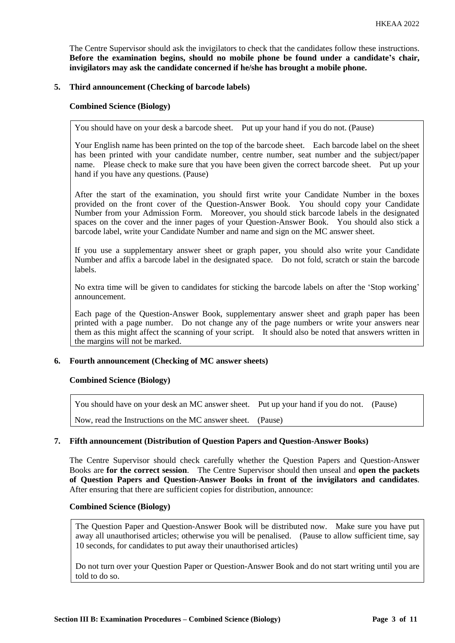The Centre Supervisor should ask the invigilators to check that the candidates follow these instructions. **Before the examination begins, should no mobile phone be found under a candidate's chair, invigilators may ask the candidate concerned if he/she has brought a mobile phone.**

## **5. Third announcement (Checking of barcode labels)**

## **Combined Science (Biology)**

You should have on your desk a barcode sheet. Put up your hand if you do not. (Pause)

Your English name has been printed on the top of the barcode sheet. Each barcode label on the sheet has been printed with your candidate number, centre number, seat number and the subject/paper name. Please check to make sure that you have been given the correct barcode sheet. Put up your hand if you have any questions. (Pause)

After the start of the examination, you should first write your Candidate Number in the boxes provided on the front cover of the Question-Answer Book. You should copy your Candidate Number from your Admission Form. Moreover, you should stick barcode labels in the designated spaces on the cover and the inner pages of your Question-Answer Book. You should also stick a barcode label, write your Candidate Number and name and sign on the MC answer sheet.

If you use a supplementary answer sheet or graph paper, you should also write your Candidate Number and affix a barcode label in the designated space. Do not fold, scratch or stain the barcode labels.

No extra time will be given to candidates for sticking the barcode labels on after the 'Stop working' announcement.

Each page of the Question-Answer Book, supplementary answer sheet and graph paper has been printed with a page number. Do not change any of the page numbers or write your answers near them as this might affect the scanning of your script. It should also be noted that answers written in the margins will not be marked.

## **6. Fourth announcement (Checking of MC answer sheets)**

#### **Combined Science (Biology)**

| You should have on your desk an MC answer sheet. Put up your hand if you do not. (Pause) |  |
|------------------------------------------------------------------------------------------|--|
| Now, read the Instructions on the MC answer sheet. (Pause)                               |  |

## **7. Fifth announcement (Distribution of Question Papers and Question-Answer Books)**

The Centre Supervisor should check carefully whether the Question Papers and Question-Answer Books are **for the correct session**. The Centre Supervisor should then unseal and **open the packets of Question Papers and Question-Answer Books in front of the invigilators and candidates**. After ensuring that there are sufficient copies for distribution, announce:

# **Combined Science (Biology)**

The Question Paper and Question-Answer Book will be distributed now. Make sure you have put away all unauthorised articles; otherwise you will be penalised. (Pause to allow sufficient time, say 10 seconds, for candidates to put away their unauthorised articles)

Do not turn over your Question Paper or Question-Answer Book and do not start writing until you are told to do so.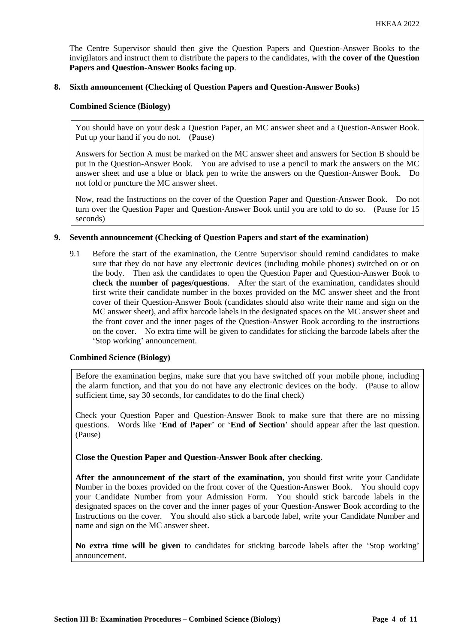The Centre Supervisor should then give the Question Papers and Question-Answer Books to the invigilators and instruct them to distribute the papers to the candidates, with **the cover of the Question Papers and Question-Answer Books facing up**.

## **8. Sixth announcement (Checking of Question Papers and Question-Answer Books)**

#### **Combined Science (Biology)**

You should have on your desk a Question Paper, an MC answer sheet and a Question-Answer Book. Put up your hand if you do not. (Pause)

Answers for Section A must be marked on the MC answer sheet and answers for Section B should be put in the Question-Answer Book. You are advised to use a pencil to mark the answers on the MC answer sheet and use a blue or black pen to write the answers on the Question-Answer Book. Do not fold or puncture the MC answer sheet.

Now, read the Instructions on the cover of the Question Paper and Question-Answer Book. Do not turn over the Question Paper and Question-Answer Book until you are told to do so. (Pause for 15 seconds)

## **9. Seventh announcement (Checking of Question Papers and start of the examination)**

9.1 Before the start of the examination, the Centre Supervisor should remind candidates to make sure that they do not have any electronic devices (including mobile phones) switched on or on the body. Then ask the candidates to open the Question Paper and Question-Answer Book to **check the number of pages/questions**. After the start of the examination, candidates should first write their candidate number in the boxes provided on the MC answer sheet and the front cover of their Question-Answer Book (candidates should also write their name and sign on the MC answer sheet), and affix barcode labels in the designated spaces on the MC answer sheet and the front cover and the inner pages of the Question-Answer Book according to the instructions on the cover. No extra time will be given to candidates for sticking the barcode labels after the 'Stop working' announcement.

#### **Combined Science (Biology)**

Before the examination begins, make sure that you have switched off your mobile phone, including the alarm function, and that you do not have any electronic devices on the body. (Pause to allow sufficient time, say 30 seconds, for candidates to do the final check)

Check your Question Paper and Question-Answer Book to make sure that there are no missing questions. Words like '**End of Paper**' or '**End of Section**' should appear after the last question. (Pause)

#### **Close the Question Paper and Question-Answer Book after checking.**

**After the announcement of the start of the examination**, you should first write your Candidate Number in the boxes provided on the front cover of the Question-Answer Book. You should copy your Candidate Number from your Admission Form. You should stick barcode labels in the designated spaces on the cover and the inner pages of your Question-Answer Book according to the Instructions on the cover. You should also stick a barcode label, write your Candidate Number and name and sign on the MC answer sheet.

**No extra time will be given** to candidates for sticking barcode labels after the 'Stop working' announcement.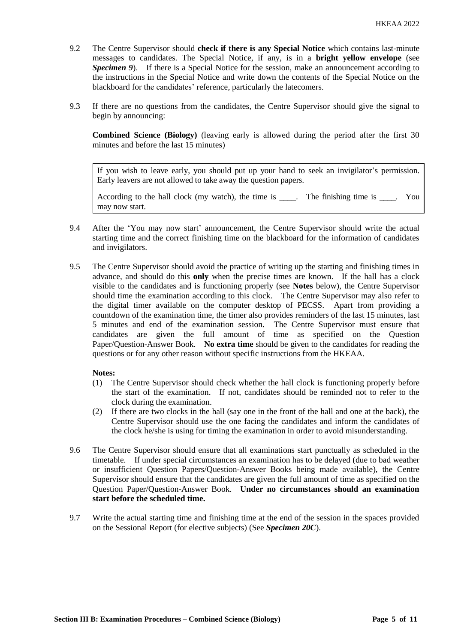- 9.2 The Centre Supervisor should **check if there is any Special Notice** which contains last-minute messages to candidates. The Special Notice, if any, is in a **bright yellow envelope** (see *Specimen 9*). If there is a Special Notice for the session, make an announcement according to the instructions in the Special Notice and write down the contents of the Special Notice on the blackboard for the candidates' reference, particularly the latecomers.
- 9.3 If there are no questions from the candidates, the Centre Supervisor should give the signal to begin by announcing:

**Combined Science (Biology)** (leaving early is allowed during the period after the first 30 minutes and before the last 15 minutes)

If you wish to leave early, you should put up your hand to seek an invigilator's permission. Early leavers are not allowed to take away the question papers.

According to the hall clock (my watch), the time is \_\_\_\_. The finishing time is \_\_\_\_. You may now start.

- 9.4 After the 'You may now start' announcement, the Centre Supervisor should write the actual starting time and the correct finishing time on the blackboard for the information of candidates and invigilators.
- 9.5 The Centre Supervisor should avoid the practice of writing up the starting and finishing times in advance, and should do this **only** when the precise times are known. If the hall has a clock visible to the candidates and is functioning properly (see **Notes** below), the Centre Supervisor should time the examination according to this clock. The Centre Supervisor may also refer to the digital timer available on the computer desktop of PECSS. Apart from providing a countdown of the examination time, the timer also provides reminders of the last 15 minutes, last 5 minutes and end of the examination session. The Centre Supervisor must ensure that candidates are given the full amount of time as specified on the Question Paper/Question-Answer Book. **No extra time** should be given to the candidates for reading the questions or for any other reason without specific instructions from the HKEAA.

## **Notes:**

- (1) The Centre Supervisor should check whether the hall clock is functioning properly before the start of the examination. If not, candidates should be reminded not to refer to the clock during the examination.
- (2) If there are two clocks in the hall (say one in the front of the hall and one at the back), the Centre Supervisor should use the one facing the candidates and inform the candidates of the clock he/she is using for timing the examination in order to avoid misunderstanding.
- 9.6 The Centre Supervisor should ensure that all examinations start punctually as scheduled in the timetable. If under special circumstances an examination has to be delayed (due to bad weather or insufficient Question Papers/Question-Answer Books being made available), the Centre Supervisor should ensure that the candidates are given the full amount of time as specified on the Question Paper/Question-Answer Book. **Under no circumstances should an examination start before the scheduled time.**
- 9.7 Write the actual starting time and finishing time at the end of the session in the spaces provided on the Sessional Report (for elective subjects) (See *Specimen 20C*).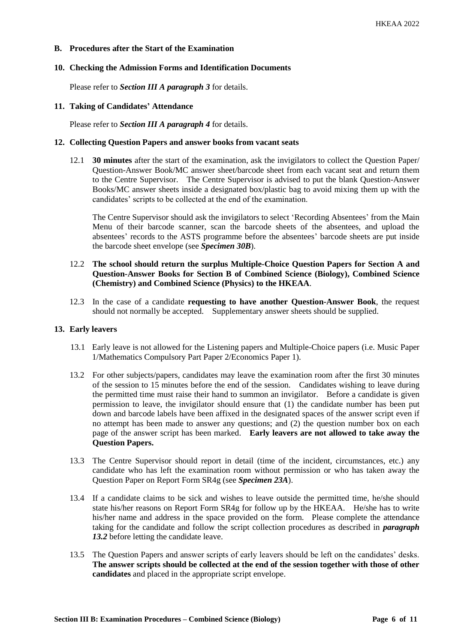## **B. Procedures after the Start of the Examination**

## **10. Checking the Admission Forms and Identification Documents**

Please refer to *Section III A paragraph 3* for details.

#### **11. Taking of Candidates' Attendance**

Please refer to *Section III A paragraph 4* for details.

#### **12. Collecting Question Papers and answer books from vacant seats**

12.1 **30 minutes** after the start of the examination, ask the invigilators to collect the Question Paper/ Question-Answer Book/MC answer sheet/barcode sheet from each vacant seat and return them to the Centre Supervisor. The Centre Supervisor is advised to put the blank Question-Answer Books/MC answer sheets inside a designated box/plastic bag to avoid mixing them up with the candidates' scripts to be collected at the end of the examination.

The Centre Supervisor should ask the invigilators to select 'Recording Absentees' from the Main Menu of their barcode scanner, scan the barcode sheets of the absentees, and upload the absentees' records to the ASTS programme before the absentees' barcode sheets are put inside the barcode sheet envelope (see *Specimen 30B*).

# 12.2 **The school should return the surplus Multiple-Choice Question Papers for Section A and Question-Answer Books for Section B of Combined Science (Biology), Combined Science (Chemistry) and Combined Science (Physics) to the HKEAA**.

12.3 In the case of a candidate **requesting to have another Question-Answer Book**, the request should not normally be accepted. Supplementary answer sheets should be supplied.

#### **13. Early leavers**

- 13.1 Early leave is not allowed for the Listening papers and Multiple-Choice papers (i.e. Music Paper 1/Mathematics Compulsory Part Paper 2/Economics Paper 1).
- 13.2 For other subjects/papers, candidates may leave the examination room after the first 30 minutes of the session to 15 minutes before the end of the session. Candidates wishing to leave during the permitted time must raise their hand to summon an invigilator. Before a candidate is given permission to leave, the invigilator should ensure that (1) the candidate number has been put down and barcode labels have been affixed in the designated spaces of the answer script even if no attempt has been made to answer any questions; and (2) the question number box on each page of the answer script has been marked. **Early leavers are not allowed to take away the Question Papers.**
- 13.3 The Centre Supervisor should report in detail (time of the incident, circumstances, etc.) any candidate who has left the examination room without permission or who has taken away the Question Paper on Report Form SR4g (see *Specimen 23A*).
- 13.4 If a candidate claims to be sick and wishes to leave outside the permitted time, he/she should state his/her reasons on Report Form SR4g for follow up by the HKEAA. He/she has to write his/her name and address in the space provided on the form. Please complete the attendance taking for the candidate and follow the script collection procedures as described in *paragraph 13.2* before letting the candidate leave.
- 13.5 The Question Papers and answer scripts of early leavers should be left on the candidates' desks. **The answer scripts should be collected at the end of the session together with those of other candidates** and placed in the appropriate script envelope.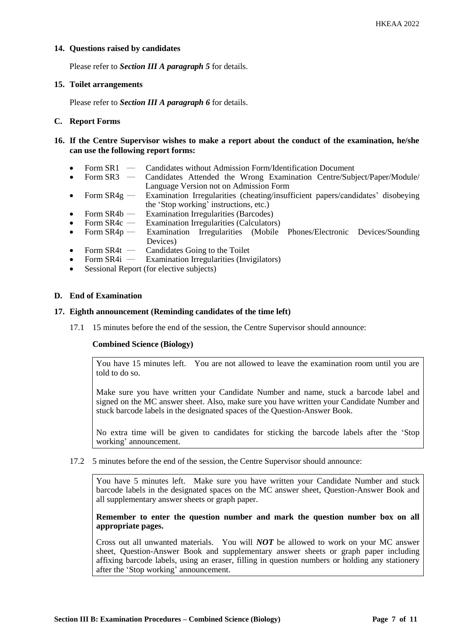## **14. Questions raised by candidates**

Please refer to *Section III A paragraph 5* for details.

#### **15. Toilet arrangements**

Please refer to *Section III A paragraph 6* for details.

## **C. Report Forms**

- **16. If the Centre Supervisor wishes to make a report about the conduct of the examination, he/she can use the following report forms:**
	- Form SR1 Candidates without Admission Form/Identification Document
	- Form SR3 Candidates Attended the Wrong Examination Centre/Subject/Paper/Module/ Language Version not on Admission Form
	- Form  $SR4g$  Examination Irregularities (cheating/insufficient papers/candidates' disobeying the 'Stop working' instructions, etc.)
	- Form SR4b Examination Irregularities (Barcodes)
	- Form SR4c Examination Irregularities (Calculators)<br>Form SR4p Examination Irregularities (Mobile
	- Form  $SR4p$  Examination Irregularities (Mobile Phones/Electronic Devices/Sounding Devices)
	- Form SR4t Candidates Going to the Toilet<br>Form SR4i Examination Irregularities (Inv.
	- Examination Irregularities (Invigilators)
	- Sessional Report (for elective subjects)

## **D. End of Examination**

## **17. Eighth announcement (Reminding candidates of the time left)**

17.1 15 minutes before the end of the session, the Centre Supervisor should announce:

## **Combined Science (Biology)**

You have 15 minutes left. You are not allowed to leave the examination room until you are told to do so.

Make sure you have written your Candidate Number and name, stuck a barcode label and signed on the MC answer sheet. Also, make sure you have written your Candidate Number and stuck barcode labels in the designated spaces of the Question-Answer Book.

No extra time will be given to candidates for sticking the barcode labels after the 'Stop working' announcement.

17.2 5 minutes before the end of the session, the Centre Supervisor should announce:

You have 5 minutes left. Make sure you have written your Candidate Number and stuck barcode labels in the designated spaces on the MC answer sheet, Question-Answer Book and all supplementary answer sheets or graph paper.

## **Remember to enter the question number and mark the question number box on all appropriate pages.**

Cross out all unwanted materials. You will *NOT* be allowed to work on your MC answer sheet, Question-Answer Book and supplementary answer sheets or graph paper including affixing barcode labels, using an eraser, filling in question numbers or holding any stationery after the 'Stop working' announcement.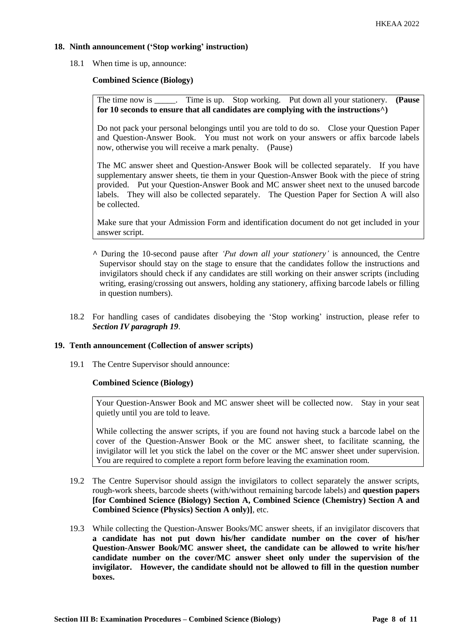## **18. Ninth announcement ('Stop working' instruction)**

18.1 When time is up, announce:

## **Combined Science (Biology)**

The time now is \_\_\_\_\_. Time is up. Stop working. Put down all your stationery. **(Pause for 10 seconds to ensure that all candidates are complying with the instructions^)**

Do not pack your personal belongings until you are told to do so. Close your Question Paper and Question-Answer Book. You must not work on your answers or affix barcode labels now, otherwise you will receive a mark penalty. (Pause)

The MC answer sheet and Question-Answer Book will be collected separately. If you have supplementary answer sheets, tie them in your Question-Answer Book with the piece of string provided. Put your Question-Answer Book and MC answer sheet next to the unused barcode labels. They will also be collected separately. The Question Paper for Section A will also be collected.

Make sure that your Admission Form and identification document do not get included in your answer script.

- **^** During the 10-second pause after *'Put down all your stationery'* is announced, the Centre Supervisor should stay on the stage to ensure that the candidates follow the instructions and invigilators should check if any candidates are still working on their answer scripts (including writing, erasing/crossing out answers, holding any stationery, affixing barcode labels or filling in question numbers).
- 18.2 For handling cases of candidates disobeying the 'Stop working' instruction, please refer to *Section IV paragraph 19*.

#### **19. Tenth announcement (Collection of answer scripts)**

19.1 The Centre Supervisor should announce:

#### **Combined Science (Biology)**

Your Question-Answer Book and MC answer sheet will be collected now. Stay in your seat quietly until you are told to leave.

While collecting the answer scripts, if you are found not having stuck a barcode label on the cover of the Question-Answer Book or the MC answer sheet, to facilitate scanning, the invigilator will let you stick the label on the cover or the MC answer sheet under supervision. You are required to complete a report form before leaving the examination room.

- 19.2 The Centre Supervisor should assign the invigilators to collect separately the answer scripts, rough-work sheets, barcode sheets (with/without remaining barcode labels) and **question papers [for Combined Science (Biology) Section A, Combined Science (Chemistry) Section A and Combined Science (Physics) Section A only)]**, etc.
- 19.3 While collecting the Question-Answer Books/MC answer sheets, if an invigilator discovers that **a candidate has not put down his/her candidate number on the cover of his/her Question-Answer Book/MC answer sheet, the candidate can be allowed to write his/her candidate number on the cover/MC answer sheet only under the supervision of the invigilator. However, the candidate should not be allowed to fill in the question number boxes.**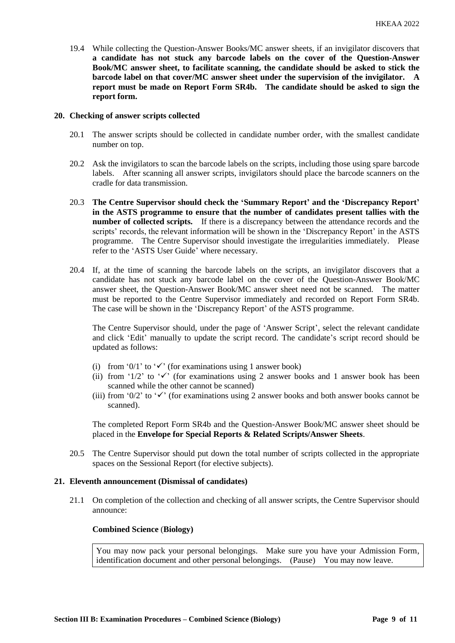19.4 While collecting the Question-Answer Books/MC answer sheets, if an invigilator discovers that **a candidate has not stuck any barcode labels on the cover of the Question-Answer Book/MC answer sheet, to facilitate scanning, the candidate should be asked to stick the barcode label on that cover/MC answer sheet under the supervision of the invigilator. A report must be made on Report Form SR4b. The candidate should be asked to sign the report form.** 

#### **20. Checking of answer scripts collected**

- 20.1 The answer scripts should be collected in candidate number order, with the smallest candidate number on top.
- 20.2 Ask the invigilators to scan the barcode labels on the scripts, including those using spare barcode labels. After scanning all answer scripts, invigilators should place the barcode scanners on the cradle for data transmission.
- 20.3 **The Centre Supervisor should check the 'Summary Report' and the 'Discrepancy Report' in the ASTS programme to ensure that the number of candidates present tallies with the number of collected scripts.** If there is a discrepancy between the attendance records and the scripts' records, the relevant information will be shown in the 'Discrepancy Report' in the ASTS programme. The Centre Supervisor should investigate the irregularities immediately. Please refer to the 'ASTS User Guide' where necessary.
- 20.4 If, at the time of scanning the barcode labels on the scripts, an invigilator discovers that a candidate has not stuck any barcode label on the cover of the Question-Answer Book/MC answer sheet, the Question-Answer Book/MC answer sheet need not be scanned. The matter must be reported to the Centre Supervisor immediately and recorded on Report Form SR4b. The case will be shown in the 'Discrepancy Report' of the ASTS programme.

The Centre Supervisor should, under the page of 'Answer Script', select the relevant candidate and click 'Edit' manually to update the script record. The candidate's script record should be updated as follows:

- (i) from '0/1' to ' $\checkmark$ ' (for examinations using 1 answer book)
- (ii) from '1/2' to ' $\checkmark$ ' (for examinations using 2 answer books and 1 answer book has been scanned while the other cannot be scanned)
- (iii) from '0/2' to ' $\checkmark$ ' (for examinations using 2 answer books and both answer books cannot be scanned).

The completed Report Form SR4b and the Question-Answer Book/MC answer sheet should be placed in the **Envelope for Special Reports & Related Scripts/Answer Sheets**.

20.5 The Centre Supervisor should put down the total number of scripts collected in the appropriate spaces on the Sessional Report (for elective subjects).

#### **21. Eleventh announcement (Dismissal of candidates)**

21.1 On completion of the collection and checking of all answer scripts, the Centre Supervisor should announce:

#### **Combined Science** (**Biology)**

You may now pack your personal belongings. Make sure you have your Admission Form, identification document and other personal belongings. (Pause) You may now leave.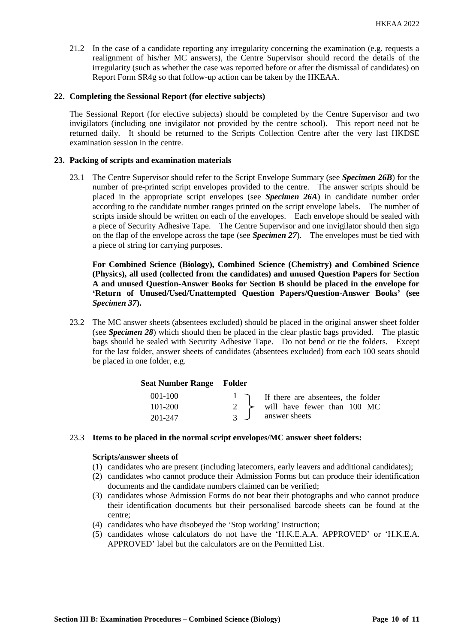21.2 In the case of a candidate reporting any irregularity concerning the examination (e.g. requests a realignment of his/her MC answers), the Centre Supervisor should record the details of the irregularity (such as whether the case was reported before or after the dismissal of candidates) on Report Form SR4g so that follow-up action can be taken by the HKEAA.

## **22. Completing the Sessional Report (for elective subjects)**

The Sessional Report (for elective subjects) should be completed by the Centre Supervisor and two invigilators (including one invigilator not provided by the centre school). This report need not be returned daily. It should be returned to the Scripts Collection Centre after the very last HKDSE examination session in the centre.

## **23. Packing of scripts and examination materials**

23.1 The Centre Supervisor should refer to the Script Envelope Summary (see *Specimen 26B*) for the number of pre-printed script envelopes provided to the centre. The answer scripts should be placed in the appropriate script envelopes (see *Specimen 26A*) in candidate number order according to the candidate number ranges printed on the script envelope labels. The number of scripts inside should be written on each of the envelopes. Each envelope should be sealed with a piece of Security Adhesive Tape. The Centre Supervisor and one invigilator should then sign on the flap of the envelope across the tape (see *Specimen 27*). The envelopes must be tied with a piece of string for carrying purposes.

**For Combined Science (Biology), Combined Science (Chemistry) and Combined Science (Physics), all used (collected from the candidates) and unused Question Papers for Section A and unused Question-Answer Books for Section B should be placed in the envelope for 'Return of Unused/Used/Unattempted Question Papers/Question-Answer Books' (see**  *Specimen 37***).**

23.2 The MC answer sheets (absentees excluded) should be placed in the original answer sheet folder (see *Specimen 28*) which should then be placed in the clear plastic bags provided. The plastic bags should be sealed with Security Adhesive Tape. Do not bend or tie the folders. Except for the last folder, answer sheets of candidates (absentees excluded) from each 100 seats should be placed in one folder, e.g.

#### **Seat Number Range Folder**

| $001-100$ |                  | $\frac{1}{\sqrt{1}}$ If there are absentees, the folder |
|-----------|------------------|---------------------------------------------------------|
| 101-200   |                  | $2 \rightarrow$ will have fewer than 100 MC             |
| 201-247   | $\overline{3}$ J | answer sheets                                           |

#### 23.3 **Items to be placed in the normal script envelopes/MC answer sheet folders:**

#### **Scripts/answer sheets of**

- (1) candidates who are present (including latecomers, early leavers and additional candidates);
- (2) candidates who cannot produce their Admission Forms but can produce their identification documents and the candidate numbers claimed can be verified;
- (3) candidates whose Admission Forms do not bear their photographs and who cannot produce their identification documents but their personalised barcode sheets can be found at the centre;
- (4) candidates who have disobeyed the 'Stop working' instruction;
- (5) candidates whose calculators do not have the 'H.K.E.A.A. APPROVED' or 'H.K.E.A. APPROVED' label but the calculators are on the Permitted List.